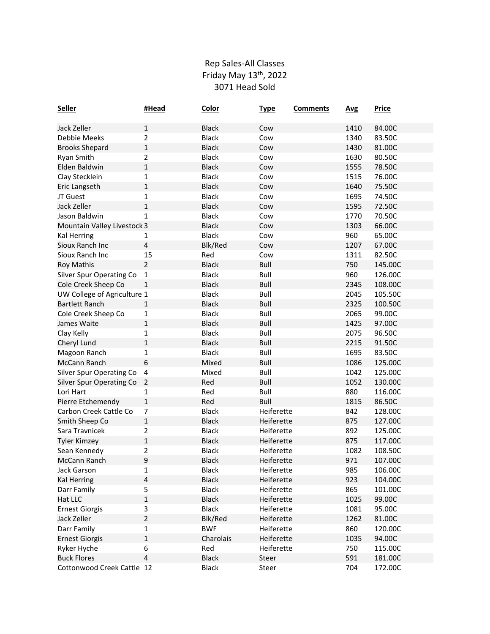## Rep Sales‐All Classes Friday May 13th, 2022 3071 Head Sold

| <b>Seller</b>                   | #Head          | <b>Color</b> | <b>Type</b> | <b>Comments</b> | <b>Avg</b> | <b>Price</b> |
|---------------------------------|----------------|--------------|-------------|-----------------|------------|--------------|
| Jack Zeller                     | $\mathbf{1}$   | <b>Black</b> | Cow         |                 | 1410       | 84.00C       |
| Debbie Meeks                    | 2              | <b>Black</b> | Cow         |                 | 1340       | 83.50C       |
| <b>Brooks Shepard</b>           | $\mathbf{1}$   | <b>Black</b> | Cow         |                 | 1430       | 81.00C       |
| Ryan Smith                      | 2              | <b>Black</b> | Cow         |                 | 1630       | 80.50C       |
| Elden Baldwin                   | 1              | <b>Black</b> | Cow         |                 | 1555       | 78.50C       |
| Clay Stecklein                  | 1              | <b>Black</b> | Cow         |                 | 1515       | 76.00C       |
| Eric Langseth                   | 1              | <b>Black</b> | Cow         |                 | 1640       | 75.50C       |
| JT Guest                        | 1              | <b>Black</b> | Cow         |                 | 1695       | 74.50C       |
| Jack Zeller                     | $\mathbf 1$    | <b>Black</b> | Cow         |                 | 1595       | 72.50C       |
| Jason Baldwin                   | 1              | <b>Black</b> | Cow         |                 | 1770       | 70.50C       |
| Mountain Valley Livestock 3     |                | <b>Black</b> | Cow         |                 | 1303       | 66.00C       |
| <b>Kal Herring</b>              | 1              | <b>Black</b> | Cow         |                 | 960        | 65.00C       |
| Sioux Ranch Inc                 | 4              | Blk/Red      | Cow         |                 | 1207       | 67.00C       |
| Sioux Ranch Inc                 | 15             | Red          | Cow         |                 | 1311       | 82.50C       |
| <b>Roy Mathis</b>               | $\overline{2}$ | <b>Black</b> | Bull        |                 | 750        | 145.00C      |
| <b>Silver Spur Operating Co</b> | 1              | <b>Black</b> | Bull        |                 | 960        | 126.00C      |
| Cole Creek Sheep Co             | 1              | <b>Black</b> | Bull        |                 | 2345       | 108.00C      |
| UW College of Agriculture 1     |                | <b>Black</b> | Bull        |                 | 2045       | 105.50C      |
| <b>Bartlett Ranch</b>           | 1              | <b>Black</b> | <b>Bull</b> |                 | 2325       | 100.50C      |
| Cole Creek Sheep Co             | 1              | <b>Black</b> | Bull        |                 | 2065       | 99.00C       |
| James Waite                     | 1              | <b>Black</b> | Bull        |                 | 1425       | 97.00C       |
| Clay Kelly                      | 1              | <b>Black</b> | Bull        |                 | 2075       | 96.50C       |
| Cheryl Lund                     | $\mathbf{1}$   | <b>Black</b> | Bull        |                 | 2215       | 91.50C       |
| Magoon Ranch                    | 1              | <b>Black</b> | Bull        |                 | 1695       | 83.50C       |
| McCann Ranch                    | 6              | Mixed        | Bull        |                 | 1086       | 125.00C      |
| <b>Silver Spur Operating Co</b> | 4              | Mixed        | Bull        |                 | 1042       | 125.00C      |
| <b>Silver Spur Operating Co</b> | 2              | Red          | <b>Bull</b> |                 | 1052       | 130.00C      |
| Lori Hart                       | 1              | Red          | Bull        |                 | 880        | 116.00C      |
| Pierre Etchemendy               | $\mathbf{1}$   | Red          | Bull        |                 | 1815       | 86.50C       |
| Carbon Creek Cattle Co          | 7              | <b>Black</b> | Heiferette  |                 | 842        | 128.00C      |
| Smith Sheep Co                  | 1              | <b>Black</b> | Heiferette  |                 | 875        | 127.00C      |
| Sara Travnicek                  | 2              | <b>Black</b> | Heiferette  |                 | 892        | 125.00C      |
| <b>Tyler Kimzey</b>             | 1              | <b>Black</b> | Heiferette  |                 | 875        | 117.00C      |
| Sean Kennedy                    | 2              | <b>Black</b> | Heiferette  |                 | 1082       | 108.50C      |
| McCann Ranch                    | 9              | <b>Black</b> | Heiferette  |                 | 971        | 107.00C      |
| Jack Garson                     | 1              | <b>Black</b> | Heiferette  |                 | 985        | 106.00C      |
| <b>Kal Herring</b>              | 4              | <b>Black</b> | Heiferette  |                 | 923        | 104.00C      |
| Darr Family                     | 5              | <b>Black</b> | Heiferette  |                 | 865        | 101.00C      |
| Hat LLC                         | $\mathbf 1$    | <b>Black</b> | Heiferette  |                 | 1025       | 99.00C       |
| <b>Ernest Giorgis</b>           | 3              | <b>Black</b> | Heiferette  |                 | 1081       | 95.00C       |
| Jack Zeller                     | $\overline{2}$ | Blk/Red      | Heiferette  |                 | 1262       | 81.00C       |
| Darr Family                     | 1              | <b>BWF</b>   | Heiferette  |                 | 860        | 120.00C      |
| <b>Ernest Giorgis</b>           | $\mathbf{1}$   | Charolais    | Heiferette  |                 | 1035       | 94.00C       |
| Ryker Hyche                     | 6              | Red          | Heiferette  |                 | 750        | 115.00C      |
| <b>Buck Flores</b>              | 4              | <b>Black</b> | Steer       |                 | 591        | 181.00C      |
| Cottonwood Creek Cattle 12      |                | <b>Black</b> | Steer       |                 | 704        | 172.00C      |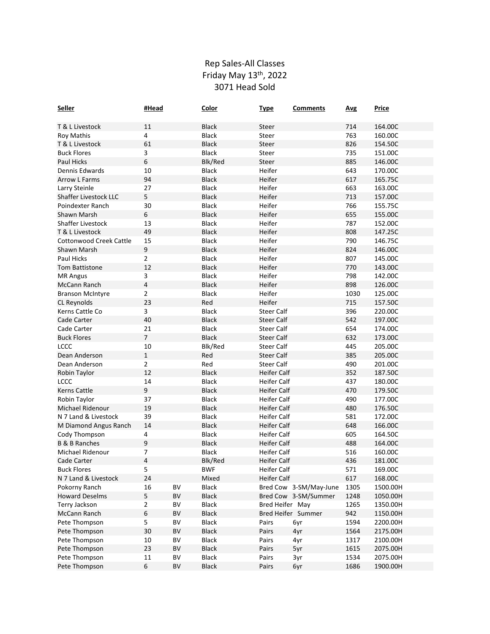## Rep Sales‐All Classes Friday May 13th, 2022 3071 Head Sold

| Seller                         | #Head          |          | Color                 | <b>Type</b>        | <b>Comments</b>        | <b>Avg</b> | <b>Price</b>         |
|--------------------------------|----------------|----------|-----------------------|--------------------|------------------------|------------|----------------------|
| T & L Livestock                | 11             |          | <b>Black</b>          | Steer              |                        | 714        | 164.00C              |
| <b>Roy Mathis</b>              | 4              |          | <b>Black</b>          | Steer              |                        | 763        | 160.00C              |
| T & L Livestock                | 61             |          | <b>Black</b>          | Steer              |                        | 826        | 154.50C              |
| <b>Buck Flores</b>             | 3              |          | <b>Black</b>          | Steer              |                        | 735        | 151.00C              |
| <b>Paul Hicks</b>              | 6              |          | Blk/Red               | Steer              |                        | 885        | 146.00C              |
| Dennis Edwards                 | 10             |          | <b>Black</b>          | Heifer             |                        | 643        | 170.00C              |
| <b>Arrow L Farms</b>           | 94             |          | <b>Black</b>          | Heifer             |                        | 617        | 165.75C              |
| Larry Steinle                  | 27             |          | <b>Black</b>          | Heifer             |                        | 663        | 163.00C              |
| <b>Shaffer Livestock LLC</b>   | 5              |          | <b>Black</b>          | Heifer             |                        | 713        | 157.00C              |
| Poindexter Ranch               | 30             |          | <b>Black</b>          | Heifer             |                        | 766        | 155.75C              |
| Shawn Marsh                    | 6              |          | <b>Black</b>          | Heifer             |                        | 655        | 155.00C              |
| Shaffer Livestock              | 13             |          | <b>Black</b>          | Heifer             |                        | 787        | 152.00C              |
| T & L Livestock                | 49             |          | <b>Black</b>          | Heifer             |                        | 808        | 147.25C              |
| <b>Cottonwood Creek Cattle</b> | 15             |          | <b>Black</b>          | Heifer             |                        | 790        | 146.75C              |
| Shawn Marsh                    | $\mathsf 9$    |          | <b>Black</b>          | Heifer             |                        | 824        | 146.00C              |
| Paul Hicks                     | 2              |          | <b>Black</b>          | Heifer             |                        | 807        | 145.00C              |
| <b>Tom Battistone</b>          | 12             |          | <b>Black</b>          | Heifer             |                        | 770        | 143.00C              |
| <b>MR Angus</b>                | 3              |          | <b>Black</b>          | Heifer             |                        | 798        | 142.00C              |
| McCann Ranch                   | 4              |          | <b>Black</b>          | Heifer             |                        | 898        | 126.00C              |
| <b>Branson McIntyre</b>        | 2              |          | <b>Black</b>          | Heifer             |                        | 1030       | 125.00C              |
| CL Reynolds                    | 23             |          | Red                   | Heifer             |                        | 715        | 157.50C              |
| Kerns Cattle Co                | 3              |          | <b>Black</b>          | <b>Steer Calf</b>  |                        | 396        | 220.00C              |
| Cade Carter                    | 40             |          | <b>Black</b>          | <b>Steer Calf</b>  |                        | 542        | 197.00C              |
| Cade Carter                    | 21             |          | <b>Black</b>          | <b>Steer Calf</b>  |                        | 654        | 174.00C              |
| <b>Buck Flores</b>             | 7              |          | <b>Black</b>          | <b>Steer Calf</b>  |                        | 632        | 173.00C              |
| <b>LCCC</b>                    | 10             |          | Blk/Red               | <b>Steer Calf</b>  |                        | 445        | 205.00C              |
| Dean Anderson                  | $\mathbf{1}$   |          | Red                   | <b>Steer Calf</b>  |                        | 385        | 205.00C              |
| Dean Anderson                  | 2              |          | Red                   | <b>Steer Calf</b>  |                        | 490        | 201.00C              |
| Robin Taylor                   | 12             |          | <b>Black</b>          | <b>Heifer Calf</b> |                        | 352        | 187.50C              |
| <b>LCCC</b>                    | 14             |          | <b>Black</b>          | <b>Heifer Calf</b> |                        | 437        | 180.00C              |
| <b>Kerns Cattle</b>            | 9              |          | <b>Black</b>          | <b>Heifer Calf</b> |                        | 470        | 179.50C              |
| Robin Taylor                   | 37             |          | <b>Black</b>          | <b>Heifer Calf</b> |                        | 490        | 177.00C              |
| Michael Ridenour               | 19             |          | <b>Black</b>          | <b>Heifer Calf</b> |                        | 480        | 176.50C              |
| N 7 Land & Livestock           | 39             |          | <b>Black</b>          | <b>Heifer Calf</b> |                        | 581        | 172.00C              |
| M Diamond Angus Ranch          | 14             |          | <b>Black</b>          | <b>Heifer Calf</b> |                        | 648        | 166.00C              |
| Cody Thompson                  | 4              |          | <b>Black</b>          | <b>Heifer Calf</b> |                        | 605        | 164.50C              |
| <b>B &amp; B Ranches</b>       | 9              |          | <b>Black</b>          | Heifer Calf        |                        | 488        | 164.00C              |
| Michael Ridenour               | 7              |          | <b>Black</b>          | <b>Heifer Calf</b> |                        | 516        | 160.00C              |
| Cade Carter                    | 4              |          | Blk/Red               | <b>Heifer Calf</b> |                        | 436        | 181.00C              |
| <b>Buck Flores</b>             | 5              |          | <b>BWF</b>            | Heifer Calf        |                        | 571        | 169.00C              |
| N 7 Land & Livestock           | 24             |          | Mixed                 | Heifer Calf        |                        | 617        | 168.00C              |
| Pokorny Ranch                  | 16             | BV       | <b>Black</b>          |                    | Bred Cow 3-SM/May-June | 1305       | 1500.00H             |
| <b>Howard Deselms</b>          | 5              | BV       | Black                 |                    | Bred Cow 3-SM/Summer   | 1248       | 1050.00H             |
| Terry Jackson                  | $\overline{2}$ | BV       | Black                 | Bred Heifer May    |                        | 1265       | 1350.00H             |
| McCann Ranch                   | 6              | ΒV       | <b>Black</b>          |                    | Bred Heifer Summer     | 942        | 1150.00H             |
| Pete Thompson                  | 5              | BV       | <b>Black</b>          | Pairs              | 6yr                    | 1594       | 2200.00H             |
| Pete Thompson                  | 30             | BV       | <b>Black</b>          | Pairs              | 4yr                    | 1564       | 2175.00H             |
| Pete Thompson                  | 10             | BV<br>BV | <b>Black</b>          | Pairs<br>Pairs     | 4yr                    | 1317       | 2100.00H<br>2075.00H |
| Pete Thompson                  | 23<br>$11\,$   | BV       | <b>Black</b><br>Black |                    | 5yr                    | 1615       |                      |
| Pete Thompson                  |                |          |                       | Pairs              | 3yr                    | 1534       | 2075.00H             |
| Pete Thompson                  | 6              | BV       | <b>Black</b>          | Pairs              | 6yr                    | 1686       | 1900.00H             |